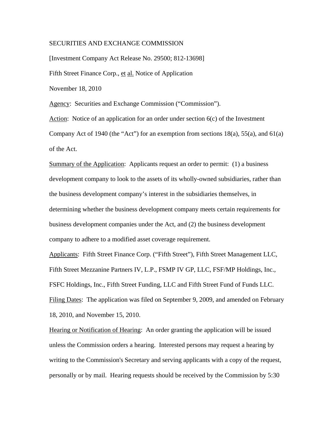### SECURITIES AND EXCHANGE COMMISSION

[Investment Company Act Release No. 29500; 812-13698] Fifth Street Finance Corp., et al. Notice of Application November 18, 2010 Agency: Securities and Exchange Commission ("Commission").

Action: Notice of an application for an order under section  $6(c)$  of the Investment Company Act of 1940 (the "Act") for an exemption from sections  $18(a)$ ,  $55(a)$ , and  $61(a)$ of the Act.

Summary of the Application: Applicants request an order to permit: (1) a business development company to look to the assets of its wholly-owned subsidiaries, rather than the business development company's interest in the subsidiaries themselves, in determining whether the business development company meets certain requirements for business development companies under the Act, and (2) the business development company to adhere to a modified asset coverage requirement.

Applicants: Fifth Street Finance Corp. ("Fifth Street"), Fifth Street Management LLC, Fifth Street Mezzanine Partners IV, L.P., FSMP IV GP, LLC, FSF/MP Holdings, Inc., FSFC Holdings, Inc., Fifth Street Funding, LLC and Fifth Street Fund of Funds LLC. Filing Dates: The application was filed on September 9, 2009, and amended on February 18, 2010, and November 15, 2010.

Hearing or Notification of Hearing: An order granting the application will be issued unless the Commission orders a hearing. Interested persons may request a hearing by writing to the Commission's Secretary and serving applicants with a copy of the request, personally or by mail. Hearing requests should be received by the Commission by 5:30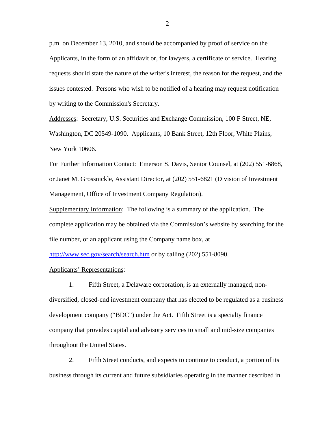p.m. on December 13, 2010, and should be accompanied by proof of service on the Applicants, in the form of an affidavit or, for lawyers, a certificate of service. Hearing requests should state the nature of the writer's interest, the reason for the request, and the issues contested. Persons who wish to be notified of a hearing may request notification by writing to the Commission's Secretary.

Addresses: Secretary, U.S. Securities and Exchange Commission, 100 F Street, NE, Washington, DC 20549-1090. Applicants, 10 Bank Street, 12th Floor, White Plains, New York 10606.

For Further Information Contact: Emerson S. Davis, Senior Counsel, at (202) 551-6868, or Janet M. Grossnickle, Assistant Director, at (202) 551-6821 (Division of Investment Management, Office of Investment Company Regulation).

Supplementary Information: The following is a summary of the application. The complete application may be obtained via the Commission's website by searching for the file number, or an applicant using the Company name box, at

<http://www.sec.gov/search/search.htm>or by calling (202) 551-8090.

Applicants' Representations:

1. Fifth Street, a Delaware corporation, is an externally managed, nondiversified, closed-end investment company that has elected to be regulated as a business development company ("BDC") under the Act. Fifth Street is a specialty finance company that provides capital and advisory services to small and mid-size companies throughout the United States.

2. Fifth Street conducts, and expects to continue to conduct, a portion of its business through its current and future subsidiaries operating in the manner described in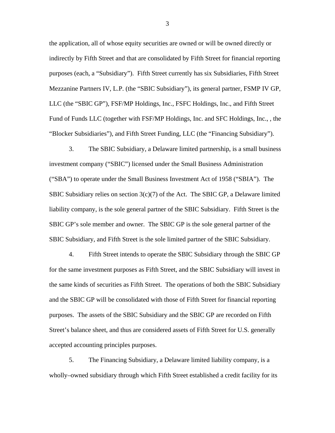the application, all of whose equity securities are owned or will be owned directly or indirectly by Fifth Street and that are consolidated by Fifth Street for financial reporting purposes (each, a "Subsidiary"). Fifth Street currently has six Subsidiaries, Fifth Street Mezzanine Partners IV, L.P. (the "SBIC Subsidiary"), its general partner, FSMP IV GP, LLC (the "SBIC GP"), FSF/MP Holdings, Inc., FSFC Holdings, Inc., and Fifth Street Fund of Funds LLC (together with FSF/MP Holdings, Inc. and SFC Holdings, Inc., , the "Blocker Subsidiaries"), and Fifth Street Funding, LLC (the "Financing Subsidiary").

3. The SBIC Subsidiary, a Delaware limited partnership, is a small business investment company ("SBIC") licensed under the Small Business Administration ("SBA") to operate under the Small Business Investment Act of 1958 ("SBIA"). The SBIC Subsidiary relies on section  $3(c)(7)$  of the Act. The SBIC GP, a Delaware limited liability company, is the sole general partner of the SBIC Subsidiary. Fifth Street is the SBIC GP's sole member and owner. The SBIC GP is the sole general partner of the SBIC Subsidiary, and Fifth Street is the sole limited partner of the SBIC Subsidiary.

4. Fifth Street intends to operate the SBIC Subsidiary through the SBIC GP for the same investment purposes as Fifth Street, and the SBIC Subsidiary will invest in the same kinds of securities as Fifth Street. The operations of both the SBIC Subsidiary and the SBIC GP will be consolidated with those of Fifth Street for financial reporting purposes. The assets of the SBIC Subsidiary and the SBIC GP are recorded on Fifth Street's balance sheet, and thus are considered assets of Fifth Street for U.S. generally accepted accounting principles purposes.

5. The Financing Subsidiary, a Delaware limited liability company, is a wholly–owned subsidiary through which Fifth Street established a credit facility for its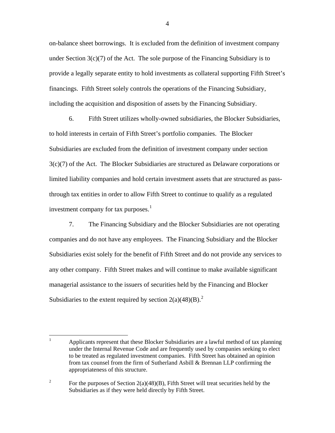on-balance sheet borrowings. It is excluded from the definition of investment company under Section  $3(c)(7)$  of the Act. The sole purpose of the Financing Subsidiary is to provide a legally separate entity to hold investments as collateral supporting Fifth Street's financings. Fifth Street solely controls the operations of the Financing Subsidiary, including the acquisition and disposition of assets by the Financing Subsidiary.

6. Fifth Street utilizes wholly-owned subsidiaries, the Blocker Subsidiaries, to hold interests in certain of Fifth Street's portfolio companies. The Blocker Subsidiaries are excluded from the definition of investment company under section 3(c)(7) of the Act. The Blocker Subsidiaries are structured as Delaware corporations or limited liability companies and hold certain investment assets that are structured as passthrough tax entities in order to allow Fifth Street to continue to qualify as a regulated investment company for tax purposes. $<sup>1</sup>$  $<sup>1</sup>$  $<sup>1</sup>$ </sup>

7. The Financing Subsidiary and the Blocker Subsidiaries are not operating companies and do not have any employees. The Financing Subsidiary and the Blocker Subsidiaries exist solely for the benefit of Fifth Street and do not provide any services to any other company. Fifth Street makes and will continue to make available significant managerial assistance to the issuers of securities held by the Financing and Blocker Subsidiaries to the extent required by section  $2(a)(48)(B)^2$  $2(a)(48)(B)^2$ .

<span id="page-3-0"></span> $\frac{1}{1}$  Applicants represent that these Blocker Subsidiaries are a lawful method of tax planning under the Internal Revenue Code and are frequently used by companies seeking to elect to be treated as regulated investment companies. Fifth Street has obtained an opinion from tax counsel from the firm of Sutherland Asbill & Brennan LLP confirming the appropriateness of this structure.

<span id="page-3-1"></span><sup>2</sup> For the purposes of Section  $2(a)(48)(B)$ , Fifth Street will treat securities held by the Subsidiaries as if they were held directly by Fifth Street.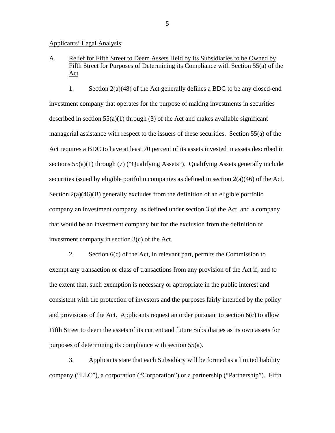Applicants' Legal Analysis:

# A. Relief for Fifth Street to Deem Assets Held by its Subsidiaries to be Owned by Fifth Street for Purposes of Determining its Compliance with Section 55(a) of the Act

1. Section 2(a)(48) of the Act generally defines a BDC to be any closed-end investment company that operates for the purpose of making investments in securities described in section  $55(a)(1)$  through (3) of the Act and makes available significant managerial assistance with respect to the issuers of these securities. Section 55(a) of the Act requires a BDC to have at least 70 percent of its assets invested in assets described in sections 55(a)(1) through (7) ("Qualifying Assets"). Qualifying Assets generally include securities issued by eligible portfolio companies as defined in section 2(a)(46) of the Act. Section  $2(a)(46)(B)$  generally excludes from the definition of an eligible portfolio company an investment company, as defined under section 3 of the Act, and a company that would be an investment company but for the exclusion from the definition of investment company in section 3(c) of the Act.

2. Section 6(c) of the Act, in relevant part, permits the Commission to exempt any transaction or class of transactions from any provision of the Act if, and to the extent that, such exemption is necessary or appropriate in the public interest and consistent with the protection of investors and the purposes fairly intended by the policy and provisions of the Act. Applicants request an order pursuant to section  $6(c)$  to allow Fifth Street to deem the assets of its current and future Subsidiaries as its own assets for purposes of determining its compliance with section 55(a).

3. Applicants state that each Subsidiary will be formed as a limited liability company ("LLC"), a corporation ("Corporation") or a partnership ("Partnership"). Fifth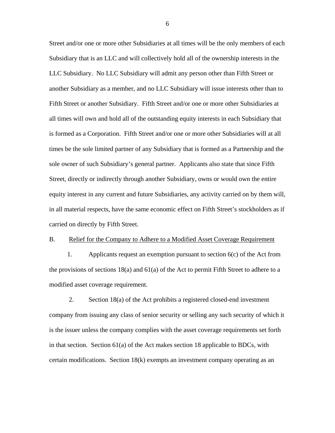Street and/or one or more other Subsidiaries at all times will be the only members of each Subsidiary that is an LLC and will collectively hold all of the ownership interests in the LLC Subsidiary. No LLC Subsidiary will admit any person other than Fifth Street or another Subsidiary as a member, and no LLC Subsidiary will issue interests other than to Fifth Street or another Subsidiary. Fifth Street and/or one or more other Subsidiaries at all times will own and hold all of the outstanding equity interests in each Subsidiary that is formed as a Corporation. Fifth Street and/or one or more other Subsidiaries will at all times be the sole limited partner of any Subsidiary that is formed as a Partnership and the sole owner of such Subsidiary's general partner. Applicants also state that since Fifth Street, directly or indirectly through another Subsidiary, owns or would own the entire equity interest in any current and future Subsidiaries, any activity carried on by them will, in all material respects, have the same economic effect on Fifth Street's stockholders as if carried on directly by Fifth Street.

## B. Relief for the Company to Adhere to a Modified Asset Coverage Requirement

 1. Applicants request an exemption pursuant to section 6(c) of the Act from the provisions of sections  $18(a)$  and  $61(a)$  of the Act to permit Fifth Street to adhere to a modified asset coverage requirement.

2. Section 18(a) of the Act prohibits a registered closed-end investment company from issuing any class of senior security or selling any such security of which it is the issuer unless the company complies with the asset coverage requirements set forth in that section. Section  $61(a)$  of the Act makes section 18 applicable to BDCs, with certain modifications. Section 18(k) exempts an investment company operating as an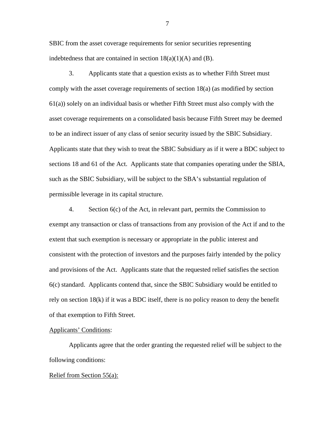SBIC from the asset coverage requirements for senior securities representing indebtedness that are contained in section  $18(a)(1)(A)$  and  $(B)$ .

3. Applicants state that a question exists as to whether Fifth Street must comply with the asset coverage requirements of section 18(a) (as modified by section 61(a)) solely on an individual basis or whether Fifth Street must also comply with the asset coverage requirements on a consolidated basis because Fifth Street may be deemed to be an indirect issuer of any class of senior security issued by the SBIC Subsidiary. Applicants state that they wish to treat the SBIC Subsidiary as if it were a BDC subject to sections 18 and 61 of the Act. Applicants state that companies operating under the SBIA, such as the SBIC Subsidiary, will be subject to the SBA's substantial regulation of permissible leverage in its capital structure.

4. Section 6(c) of the Act, in relevant part, permits the Commission to exempt any transaction or class of transactions from any provision of the Act if and to the extent that such exemption is necessary or appropriate in the public interest and consistent with the protection of investors and the purposes fairly intended by the policy and provisions of the Act. Applicants state that the requested relief satisfies the section 6(c) standard. Applicants contend that, since the SBIC Subsidiary would be entitled to rely on section 18(k) if it was a BDC itself, there is no policy reason to deny the benefit of that exemption to Fifth Street.

## Applicants' Conditions:

 Applicants agree that the order granting the requested relief will be subject to the following conditions:

#### Relief from Section 55(a):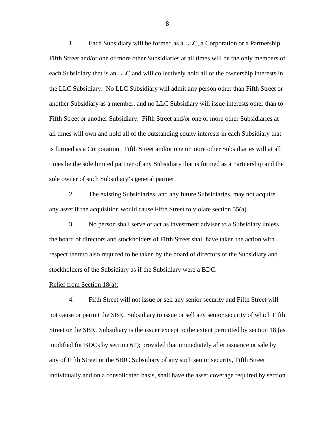1. Each Subsidiary will be formed as a LLC, a Corporation or a Partnership. Fifth Street and/or one or more other Subsidiaries at all times will be the only members of each Subsidiary that is an LLC and will collectively hold all of the ownership interests in the LLC Subsidiary. No LLC Subsidiary will admit any person other than Fifth Street or another Subsidiary as a member, and no LLC Subsidiary will issue interests other than to Fifth Street or another Subsidiary. Fifth Street and/or one or more other Subsidiaries at all times will own and hold all of the outstanding equity interests in each Subsidiary that is formed as a Corporation. Fifth Street and/or one or more other Subsidiaries will at all times be the sole limited partner of any Subsidiary that is formed as a Partnership and the sole owner of such Subsidiary's general partner.

2. The existing Subsidiaries, and any future Subsidiaries, may not acquire any asset if the acquisition would cause Fifth Street to violate section 55(a).

3. No person shall serve or act as investment adviser to a Subsidiary unless the board of directors and stockholders of Fifth Street shall have taken the action with respect thereto also required to be taken by the board of directors of the Subsidiary and stockholders of the Subsidiary as if the Subsidiary were a BDC.

### Relief from Section 18(a):

4. Fifth Street will not issue or sell any senior security and Fifth Street will not cause or permit the SBIC Subsidiary to issue or sell any senior security of which Fifth Street or the SBIC Subsidiary is the issuer except to the extent permitted by section 18 (as modified for BDCs by section 61); provided that immediately after issuance or sale by any of Fifth Street or the SBIC Subsidiary of any such senior security, Fifth Street individually and on a consolidated basis, shall have the asset coverage required by section